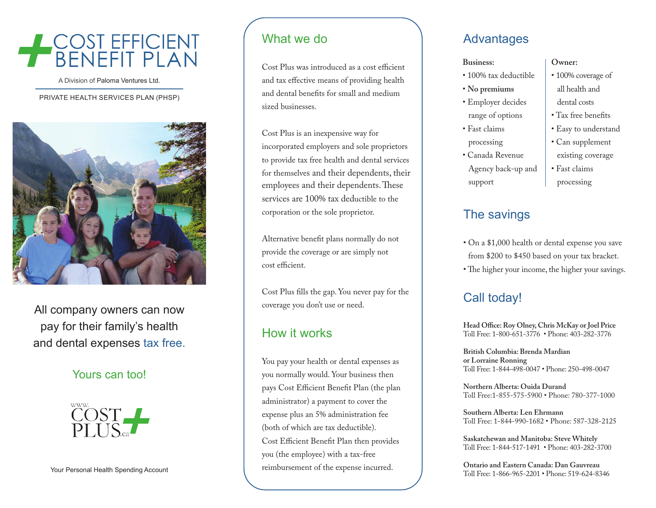# A COST EFFICIENT

A Division of Paloma Ventures Ltd.

#### PRIVATE HEALTH SERVICES PLAN (PHSP )



All company owners can now pay for their family's health and dental expenses tax free.

#### Yours can too!



#### What we do

Cost Plus was introduced as a cost efficient and tax effective means of providing health and dental benefits for small and medium sized businesses.

Cost Plus is an inexpensive way for incorporated employers and sole proprietors to provide tax free health and dental services for themselves and their dependents, their employees and their dependents. These services are 100% tax deductible to the corporation or the sole proprietor.

Alternative benefit plans normally do not provide the coverage or are simply not cost efficient.

Cost Plus fills the gap. You never pay for the coverage you don't use or need.

#### How it works

You pay your health or dental expenses as you normally would. Your business then pays Cost Efficient Benefit Plan (the plan administrator) a payment to cover the expense plus an 5% administration fee (both of which are tax deductible). Cost Efficient Benefit Plan then provides you (the employee) with a tax-free reimbursement of the expense incurred.

#### **Advantages**

#### **Business:** • 100% tax deductible • **No premiums** • Employer decides range of options • Fast claims processing • Canada Revenue Agency back-up and support **Owner:** • 100% coverage of all health and dental costs • Tax free benefits • Easy to understand • Can supplement existing coverage • Fast claims processing

# The savings

- On a \$1,000 health or dental expense you save from \$200 to \$450 based on your tax bracket.
- The higher your income, the higher your savings.

#### Call today!

**Head Office: Roy Olney, Chris McKay or Joel Price** Toll Free: 1-800-651-3776 • Phone: 403-282-3776

**British Columbia: Brenda Mardian or Lorraine Ronning** Toll Free: 1-844-498-0047 • Phone: 250-498-0047

**Northern Alberta: Ouida Durand**  Toll Free:1-855-575-5900 • Phone: 780-377-1000

**Southern Alberta: Len Ehrmann** Toll Free: 1-844-990-1682 • Phone: 587-328-2125

**Saskatchewan and Manitoba: Steve Whitely** Toll Free: 1-844-517-1491 • Phone: 403-282-3700

**Ontario and Eastern Canada: Dan Gauvreau** Toll Free: 1-866-965-2201 • Phone: 519-624-8346